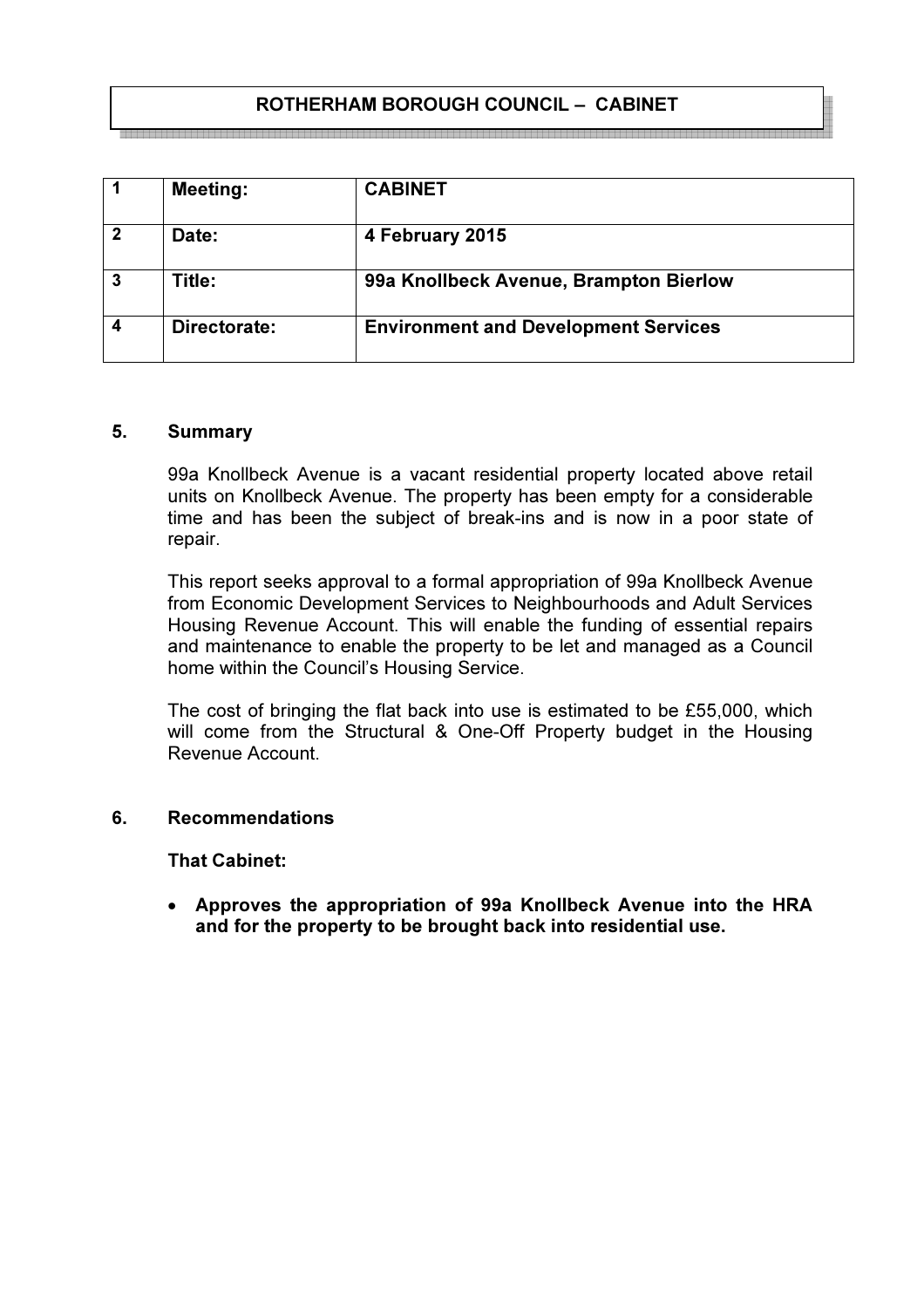# ROTHERHAM BOROUGH COUNCIL – CABINET

|                  | <b>Meeting:</b> | <b>CABINET</b>                              |
|------------------|-----------------|---------------------------------------------|
| $\overline{2}$   | Date:           | 4 February 2015                             |
| <b>3</b>         | Title:          | 99a Knollbeck Avenue, Brampton Bierlow      |
| $\boldsymbol{4}$ | Directorate:    | <b>Environment and Development Services</b> |

#### 5. Summary

99a Knollbeck Avenue is a vacant residential property located above retail units on Knollbeck Avenue. The property has been empty for a considerable time and has been the subject of break-ins and is now in a poor state of repair.

This report seeks approval to a formal appropriation of 99a Knollbeck Avenue from Economic Development Services to Neighbourhoods and Adult Services Housing Revenue Account. This will enable the funding of essential repairs and maintenance to enable the property to be let and managed as a Council home within the Council's Housing Service.

The cost of bringing the flat back into use is estimated to be £55,000, which will come from the Structural & One-Off Property budget in the Housing Revenue Account.

#### 6. Recommendations

## That Cabinet:

• Approves the appropriation of 99a Knollbeck Avenue into the HRA and for the property to be brought back into residential use.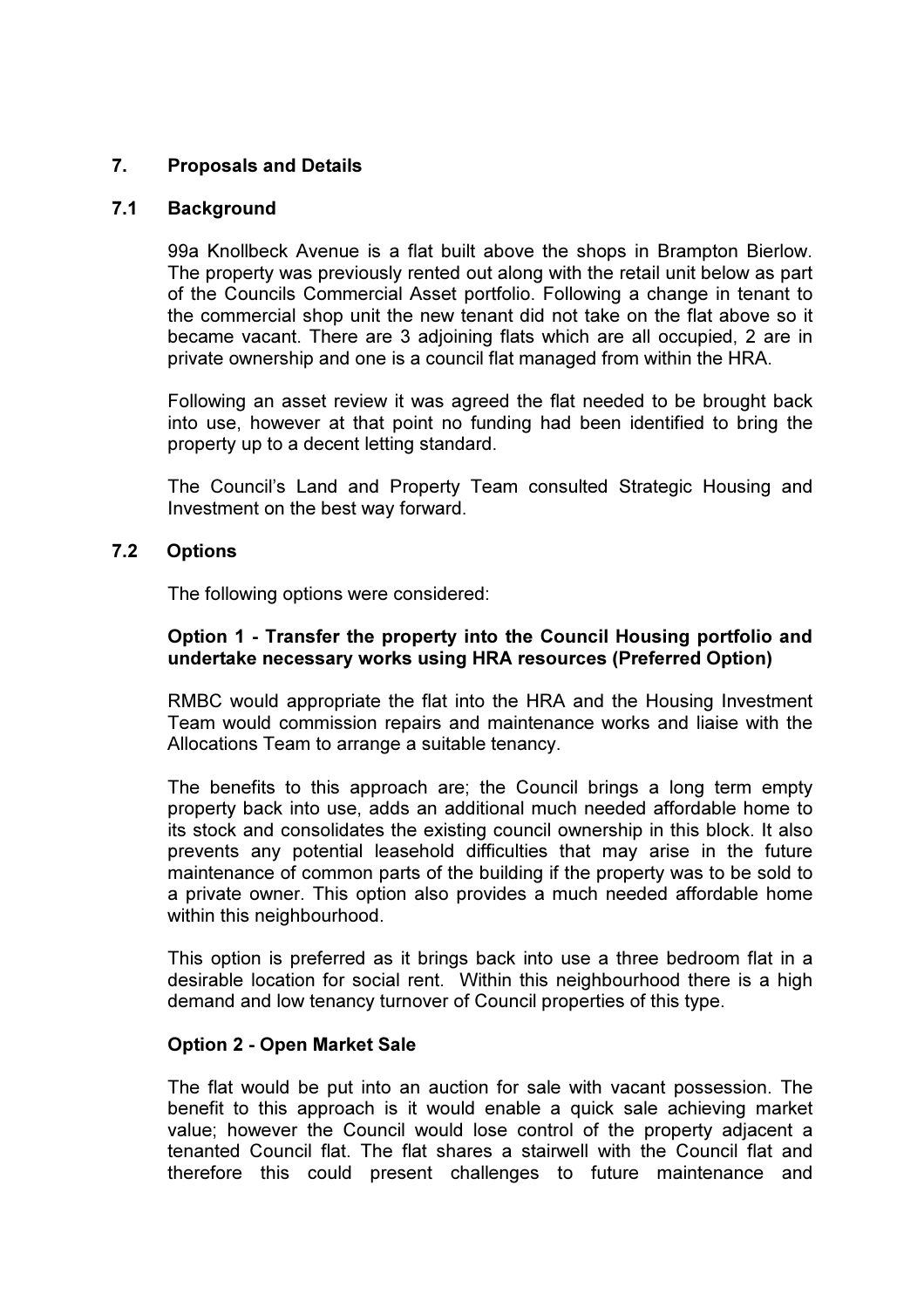# 7. Proposals and Details

### 7.1 Background

99a Knollbeck Avenue is a flat built above the shops in Brampton Bierlow. The property was previously rented out along with the retail unit below as part of the Councils Commercial Asset portfolio. Following a change in tenant to the commercial shop unit the new tenant did not take on the flat above so it became vacant. There are 3 adjoining flats which are all occupied, 2 are in private ownership and one is a council flat managed from within the HRA.

Following an asset review it was agreed the flat needed to be brought back into use, however at that point no funding had been identified to bring the property up to a decent letting standard.

The Council's Land and Property Team consulted Strategic Housing and Investment on the best way forward.

## 7.2 Options

The following options were considered:

## Option 1 - Transfer the property into the Council Housing portfolio and undertake necessary works using HRA resources (Preferred Option)

RMBC would appropriate the flat into the HRA and the Housing Investment Team would commission repairs and maintenance works and liaise with the Allocations Team to arrange a suitable tenancy.

The benefits to this approach are; the Council brings a long term empty property back into use, adds an additional much needed affordable home to its stock and consolidates the existing council ownership in this block. It also prevents any potential leasehold difficulties that may arise in the future maintenance of common parts of the building if the property was to be sold to a private owner. This option also provides a much needed affordable home within this neighbourhood.

This option is preferred as it brings back into use a three bedroom flat in a desirable location for social rent. Within this neighbourhood there is a high demand and low tenancy turnover of Council properties of this type.

#### Option 2 - Open Market Sale

The flat would be put into an auction for sale with vacant possession. The benefit to this approach is it would enable a quick sale achieving market value; however the Council would lose control of the property adjacent a tenanted Council flat. The flat shares a stairwell with the Council flat and therefore this could present challenges to future maintenance and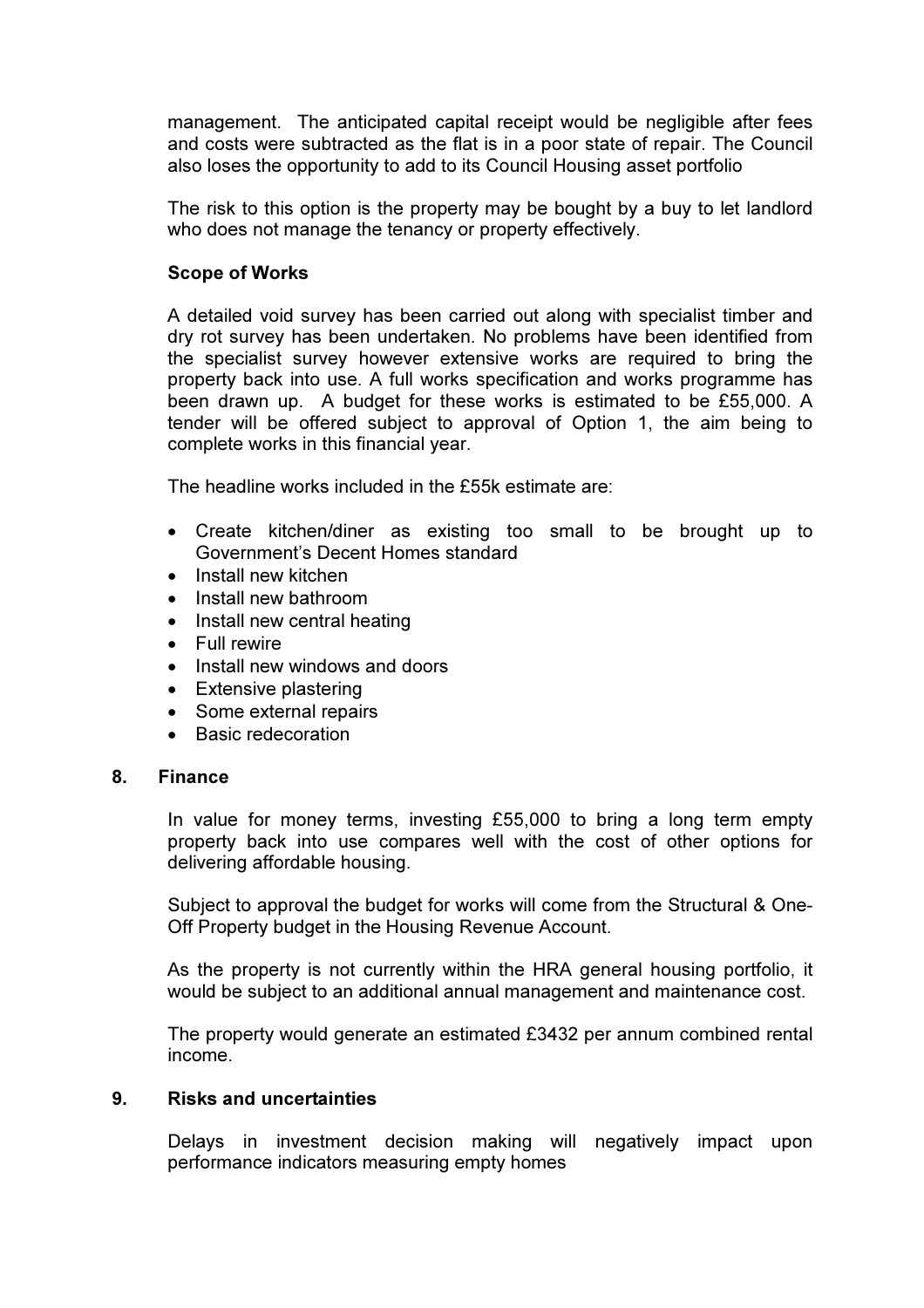management. The anticipated capital receipt would be negligible after fees and costs were subtracted as the flat is in a poor state of repair. The Council also loses the opportunity to add to its Council Housing asset portfolio

The risk to this option is the property may be bought by a buy to let landlord who does not manage the tenancy or property effectively.

### Scope of Works

A detailed void survey has been carried out along with specialist timber and dry rot survey has been undertaken. No problems have been identified from the specialist survey however extensive works are required to bring the property back into use. A full works specification and works programme has been drawn up. A budget for these works is estimated to be £55,000. A tender will be offered subject to approval of Option 1, the aim being to complete works in this financial year.

The headline works included in the £55k estimate are:

- Create kitchen/diner as existing too small to be brought up to Government's Decent Homes standard
- Install new kitchen
- Install new bathroom
- Install new central heating
- Full rewire
- Install new windows and doors
- Extensive plastering
- Some external repairs
- Basic redecoration

#### 8. Finance

In value for money terms, investing £55,000 to bring a long term empty property back into use compares well with the cost of other options for delivering affordable housing.

Subject to approval the budget for works will come from the Structural & One-Off Property budget in the Housing Revenue Account.

As the property is not currently within the HRA general housing portfolio, it would be subject to an additional annual management and maintenance cost.

The property would generate an estimated £3432 per annum combined rental income.

#### 9. Risks and uncertainties

Delays in investment decision making will negatively impact upon performance indicators measuring empty homes